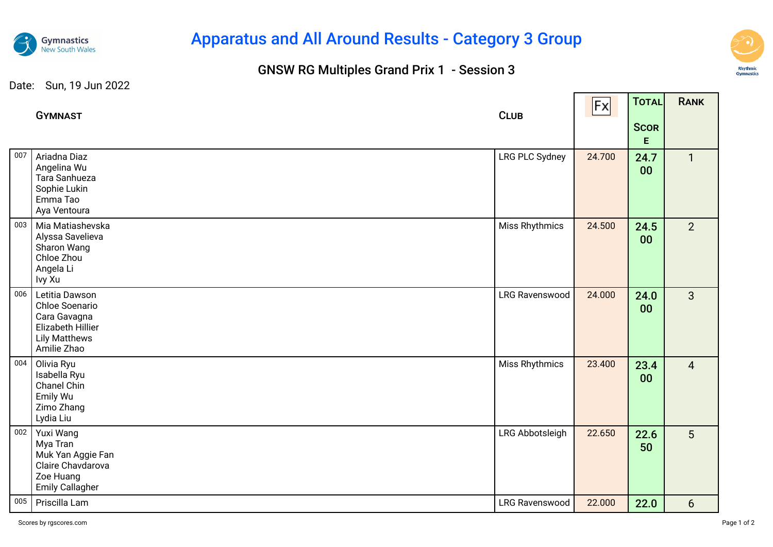

# Apparatus and All Around Results - Category 3 Group

## GNSW RG Multiples Grand Prix 1 - Session 3



┱

#### Date: Sun, 19 Jun 2022

|     | <b>GYMNAST</b>                                                                                                      | <b>CLUB</b>           | Fx     | TOTAL<br><b>SCOR</b><br>E. | RANK           |
|-----|---------------------------------------------------------------------------------------------------------------------|-----------------------|--------|----------------------------|----------------|
| 007 | Ariadna Diaz<br>Angelina Wu<br>Tara Sanhueza<br>Sophie Lukin<br>Emma Tao<br>Aya Ventoura                            | LRG PLC Sydney        | 24.700 | 24.7<br>00                 | $\mathbf{1}$   |
| 003 | Mia Matiashevska<br>Alyssa Savelieva<br>Sharon Wang<br>Chloe Zhou<br>Angela Li<br>Ivy Xu                            | Miss Rhythmics        | 24.500 | 24.5<br>00                 | $\overline{2}$ |
| 006 | Letitia Dawson<br>Chloe Soenario<br>Cara Gavagna<br><b>Elizabeth Hillier</b><br><b>Lily Matthews</b><br>Amilie Zhao | <b>LRG Ravenswood</b> | 24.000 | 24.0<br>00                 | $\mathbf{3}$   |
| 004 | Olivia Ryu<br>Isabella Ryu<br>Chanel Chin<br>Emily Wu<br>Zimo Zhang<br>Lydia Liu                                    | Miss Rhythmics        | 23.400 | 23.4<br>00                 | $\overline{4}$ |
| 002 | Yuxi Wang<br>Mya Tran<br>Muk Yan Aggie Fan<br>Claire Chavdarova<br>Zoe Huang<br><b>Emily Callagher</b>              | LRG Abbotsleigh       | 22.650 | 22.6<br>50                 | 5 <sup>5</sup> |
| 005 | Priscilla Lam                                                                                                       | <b>LRG Ravenswood</b> | 22.000 | 22.0                       | $6\phantom{1}$ |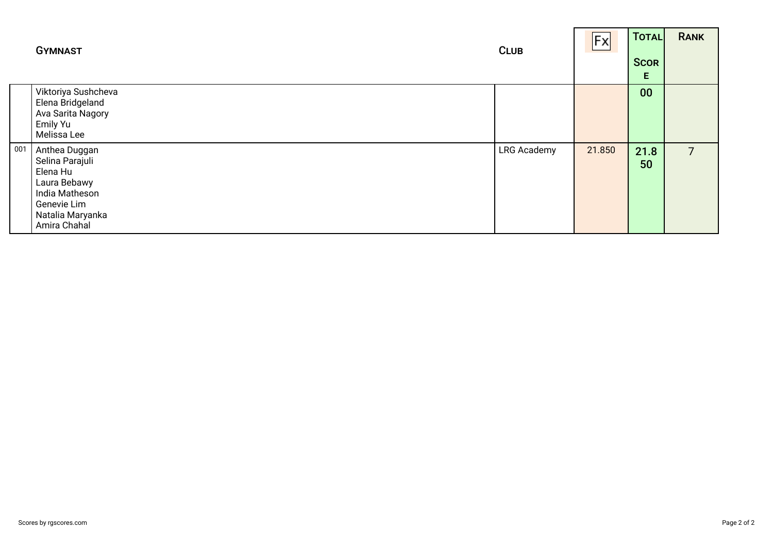|     | <b>GYMNAST</b>                                                                                                                    | <b>CLUB</b>        | Fx     | TOTAL<br><b>SCOR</b><br>Е | <b>RANK</b>    |
|-----|-----------------------------------------------------------------------------------------------------------------------------------|--------------------|--------|---------------------------|----------------|
|     | Viktoriya Sushcheva<br>Elena Bridgeland<br>Ava Sarita Nagory<br>Emily Yu<br>Melissa Lee                                           |                    |        | 00                        |                |
| 001 | Anthea Duggan<br>Selina Parajuli<br>Elena Hu<br>Laura Bebawy<br>India Matheson<br>Genevie Lim<br>Natalia Maryanka<br>Amira Chahal | <b>LRG Academy</b> | 21.850 | 21.8<br>50                | $\overline{7}$ |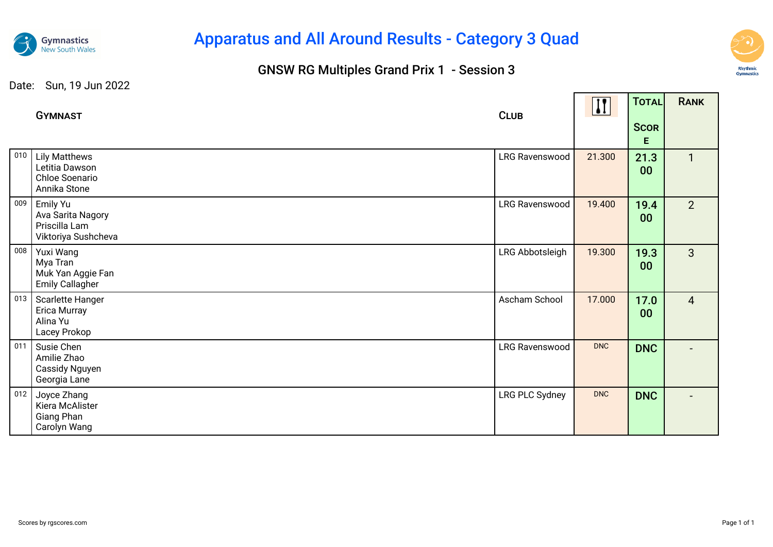

# Apparatus and All Around Results - Category 3 Quad

## GNSW RG Multiples Grand Prix 1 - Session 3



and the contract

and the state of the con-

#### Date: Sun, 19 Jun 2022

|     | <b>GYMNAST</b>                                                           | <b>CLUB</b>           | $\mathbf{H}$ | TOTAL                   | <b>RANK</b>    |
|-----|--------------------------------------------------------------------------|-----------------------|--------------|-------------------------|----------------|
|     |                                                                          |                       |              | <b>SCOR</b><br>E        |                |
| 010 | <b>Lily Matthews</b><br>Letitia Dawson<br>Chloe Soenario<br>Annika Stone | LRG Ravenswood        | 21.300       | 21.3<br>00 <sub>o</sub> | $\mathbf{1}$   |
| 009 | Emily Yu<br>Ava Sarita Nagory<br>Priscilla Lam<br>Viktoriya Sushcheva    | <b>LRG Ravenswood</b> | 19.400       | 19.4<br>00              | $\overline{2}$ |
| 008 | Yuxi Wang<br>Mya Tran<br>Muk Yan Aggie Fan<br><b>Emily Callagher</b>     | LRG Abbotsleigh       | 19.300       | 19.3<br>00              | $\overline{3}$ |
| 013 | Scarlette Hanger<br>Erica Murray<br>Alina Yu<br>Lacey Prokop             | Ascham School         | 17.000       | 17.0<br>00              | $\overline{4}$ |
| 011 | Susie Chen<br>Amilie Zhao<br>Cassidy Nguyen<br>Georgia Lane              | LRG Ravenswood        | <b>DNC</b>   | <b>DNC</b>              |                |
| 012 | Joyce Zhang<br>Kiera McAlister<br>Giang Phan<br>Carolyn Wang             | LRG PLC Sydney        | <b>DNC</b>   | <b>DNC</b>              |                |